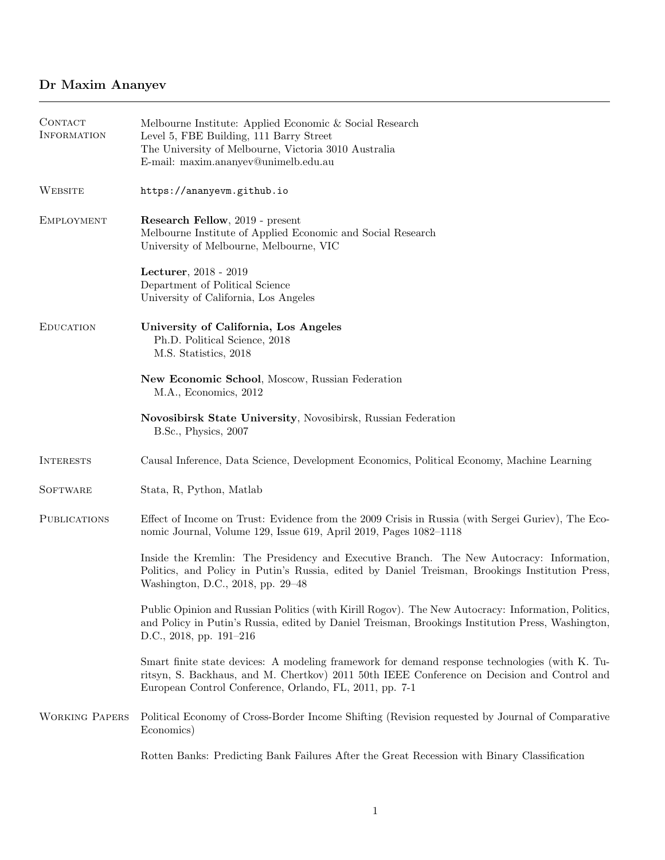## Dr Maxim Ananyev

| CONTACT<br><b>INFORMATION</b> | Melbourne Institute: Applied Economic & Social Research<br>Level 5, FBE Building, 111 Barry Street<br>The University of Melbourne, Victoria 3010 Australia<br>E-mail: maxim.ananyev@unimelb.edu.au                                                       |
|-------------------------------|----------------------------------------------------------------------------------------------------------------------------------------------------------------------------------------------------------------------------------------------------------|
| WEBSITE                       | https://ananyevm.github.io                                                                                                                                                                                                                               |
| <b>EMPLOYMENT</b>             | Research Fellow, 2019 - present<br>Melbourne Institute of Applied Economic and Social Research<br>University of Melbourne, Melbourne, VIC                                                                                                                |
|                               | Lecturer, 2018 - 2019<br>Department of Political Science<br>University of California, Los Angeles                                                                                                                                                        |
| <b>EDUCATION</b>              | University of California, Los Angeles<br>Ph.D. Political Science, 2018<br>M.S. Statistics, 2018                                                                                                                                                          |
|                               | New Economic School, Moscow, Russian Federation<br>M.A., Economics, 2012                                                                                                                                                                                 |
|                               | Novosibirsk State University, Novosibirsk, Russian Federation<br>B.Sc., Physics, 2007                                                                                                                                                                    |
| <b>INTERESTS</b>              | Causal Inference, Data Science, Development Economics, Political Economy, Machine Learning                                                                                                                                                               |
| <b>SOFTWARE</b>               | Stata, R, Python, Matlab                                                                                                                                                                                                                                 |
| <b>PUBLICATIONS</b>           | Effect of Income on Trust: Evidence from the 2009 Crisis in Russia (with Sergei Guriev), The Eco-<br>nomic Journal, Volume 129, Issue 619, April 2019, Pages 1082-1118                                                                                   |
|                               | Inside the Kremlin: The Presidency and Executive Branch. The New Autocracy: Information,<br>Politics, and Policy in Putin's Russia, edited by Daniel Treisman, Brookings Institution Press,<br>Washington, D.C., 2018, pp. 29-48                         |
|                               | Public Opinion and Russian Politics (with Kirill Rogov). The New Autocracy: Information, Politics,<br>and Policy in Putin's Russia, edited by Daniel Treisman, Brookings Institution Press, Washington,<br>D.C., 2018, pp. 191-216                       |
|                               | Smart finite state devices: A modeling framework for demand response technologies (with K. Tu-<br>ritsyn, S. Backhaus, and M. Chertkov) 2011 50th IEEE Conference on Decision and Control and<br>European Control Conference, Orlando, FL, 2011, pp. 7-1 |
| <b>WORKING PAPERS</b>         | Political Economy of Cross-Border Income Shifting (Revision requested by Journal of Comparative<br>Economics)                                                                                                                                            |
|                               | Rotten Banks: Predicting Bank Failures After the Great Recession with Binary Classification                                                                                                                                                              |